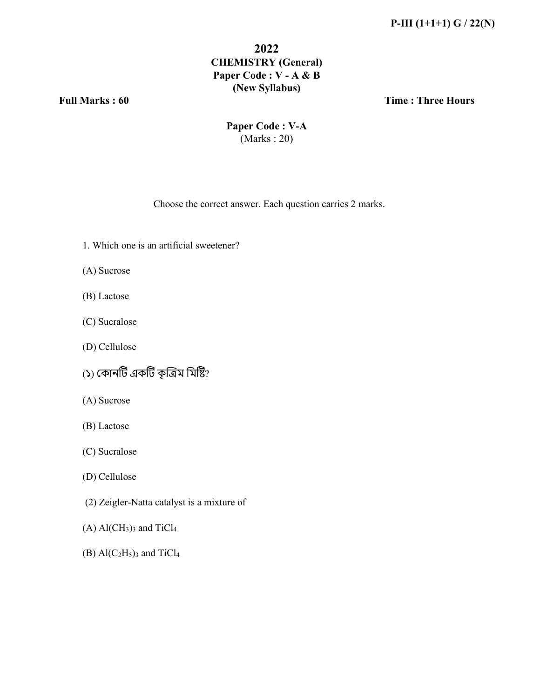#### **2022 CHEMISTRY (General) Paper Code : V - A & B (New Syllabus)**

**Full Marks : 60 Time : Three Hours**

**Paper Code : V-A** (Marks : 20)

Choose the correct answer. Each question carries 2 marks.

- 1. Which one is an artificial sweetener?
- (A) Sucrose
- (B) Lactose
- (C) Sucralose
- (D) Cellulose
- (১) কোনটি একটি কৃত্রিম মিষ্টি?
- (A) Sucrose
- (B) Lactose
- (C) Sucralose
- (D) Cellulose
- (2) Zeigler-Natta catalyst is a mixture of
- $(A)$  Al(CH<sub>3</sub>)<sub>3</sub> and TiCl<sub>4</sub>
- (B)  $Al(C<sub>2</sub>H<sub>5</sub>)<sub>3</sub>$  and TiCl<sub>4</sub>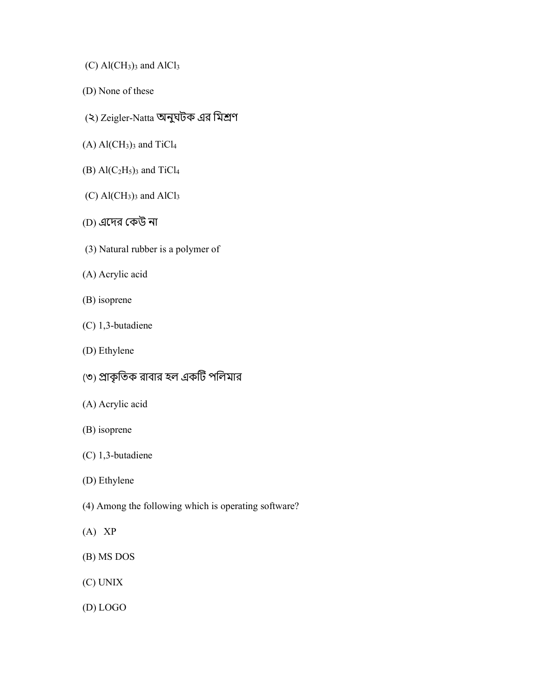- $(C)$  Al $(CH_3)$ <sub>3</sub> and AlCl<sub>3</sub>
- (D) None of these
- (২) Zeigler-Natta অনুঘটক এর মিশ্রণ
- $(A)$  Al(CH<sub>3</sub>)<sub>3</sub> and TiCl<sub>4</sub>
- (B)  $\text{Al}(C_2H_5)$ <sub>3</sub> and TiCl<sub>4</sub>
- $(C)$  Al $(CH_3)$ <sub>3</sub> and AlCl<sub>3</sub>
- (D) এেদর έকউ না
- (3) Natural rubber is a polymer of
- (A) Acrylic acid
- (B) isoprene
- (C) 1,3-butadiene
- (D) Ethylene
- (৩) ϕাকৃ িতক রাবার হল একΜট পিলমার
- (A) Acrylic acid
- (B) isoprene
- (C) 1,3-butadiene
- (D) Ethylene
- (4) Among the following which is operating software?
- (A) XP
- (B) MS DOS
- (C) UNIX
- (D) LOGO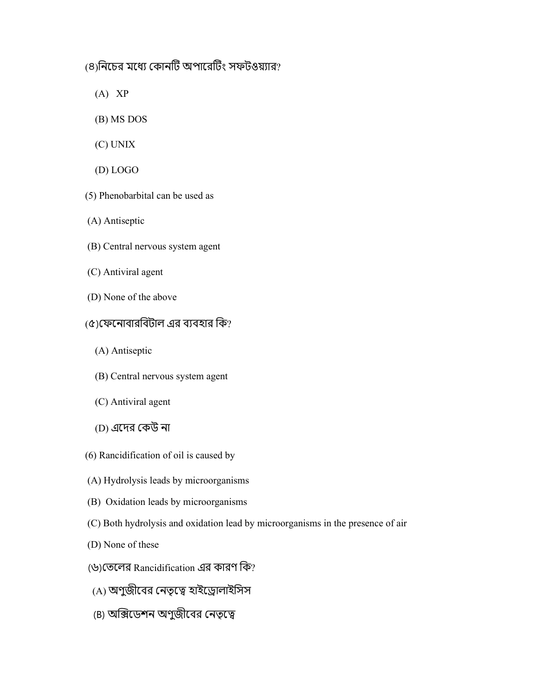### (৪)নিচের মধ্যে কোনটি অপারেটিং সফটওয়্যার?

- $(A)$  XP
- (B) MS DOS
- (C) UNIX
- (D) LOGO
- (5) Phenobarbital can be used as
- (A) Antiseptic
- (B) Central nervous system agent
- (C) Antiviral agent
- (D) None of the above
- $($ ৫) ফেনোবারবিটাল এর ব্যবহার কি?
	- (A) Antiseptic
	- (B) Central nervous system agent
	- (C) Antiviral agent
	- (D) এদের কেউ না
- (6) Rancidification of oil is caused by
- (A) Hydrolysis leads by microorganisms
- (B) Oxidation leads by microorganisms
- (C) Both hydrolysis and oxidation lead by microorganisms in the presence of air
- (D) None of these
- (৬)তেলের Rancidification এর কারণ কি?
- (A) অণুজীবের নেতৃত্বে হাইড্রোলাইসিস
- (B) অক্সিডেশন অণুজীবের নেতৃত্বে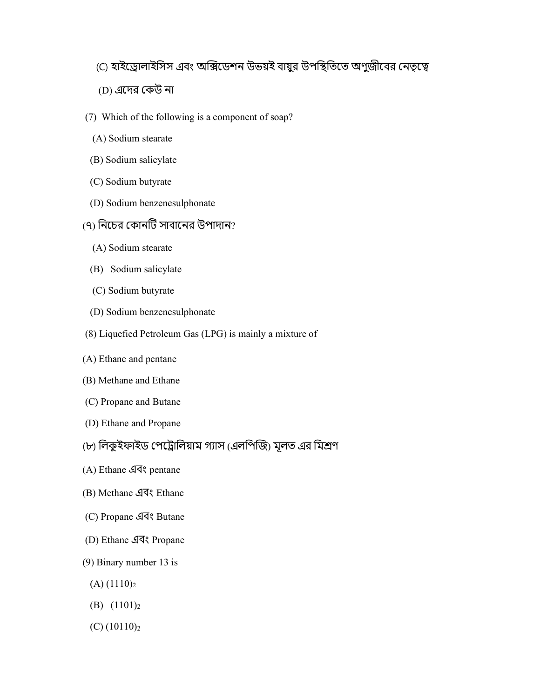### (C) হাইড্রোলাইসিস এবং অক্সিডেশন উভয়ই বায়ুর উপস্থিতিতে অণুজীবের নেতৃত্বে

- (D) এদের কেউ না
- (7) Which of the following is a component of soap?
	- (A) Sodium stearate
- (B) Sodium salicylate
- (C) Sodium butyrate
- (D) Sodium benzenesulphonate

### (৭) নিচের কোনটি সাবানের উপাদান?

- (A) Sodium stearate
- (B) Sodium salicylate
- (C) Sodium butyrate
- (D) Sodium benzenesulphonate
- (8) Liquefied Petroleum Gas (LPG) is mainly a mixture of
- (A) Ethane and pentane
- (B) Methane and Ethane
- (C) Propane and Butane
- (D) Ethane and Propane
- (৮) লিকুইফাইড পেট্রোলিয়াম গ্যাস (এলপিজি) মূলত এর মিশ্রণ
- $(A)$  Ethane  $\mathcal{A}$  as pentane
- (B) Methane এবং Ethane
- (C) Propane এবং Butane
- (D) Ethane এবং Propane
- $(9)$  Binary number 13 is
	- $(A)$   $(1110)<sub>2</sub>$
	- (B)  $(1101)_2$
	- $(C)$  (10110)<sub>2</sub>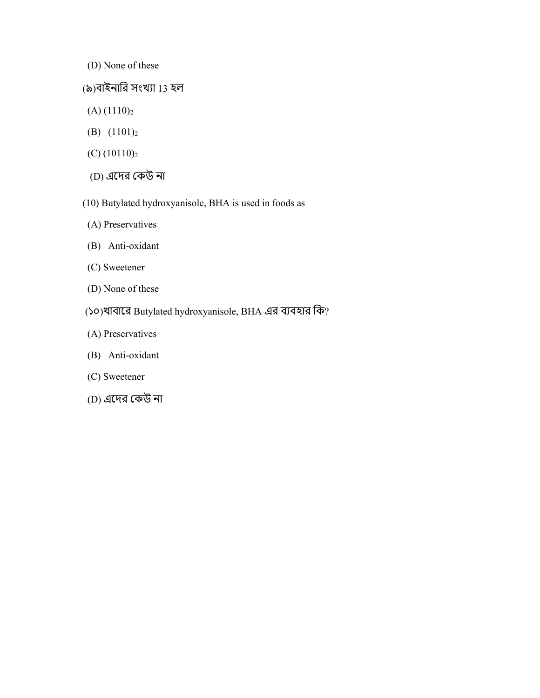- (D) None of these
- (৯)বাইনারি সংখ্যা 13 হল
- $(A)$  (1110)<sub>2</sub>
- (B)  $(1101)_2$
- $(C)$  (10110)<sub>2</sub>
- (D) এেদর έকউ না
- (10) Butylated hydroxyanisole, BHA is used in foods as
- (A) Preservatives
- (B) Anti-oxidant
- (C) Sweetener
- (D) None of these
- (১০)খাবারে Butylated hydroxyanisole, BHA এর ব্যবহার কি?
- (A) Preservatives
- (B) Anti-oxidant
- (C) Sweetener
- (D) এেদর έকউ না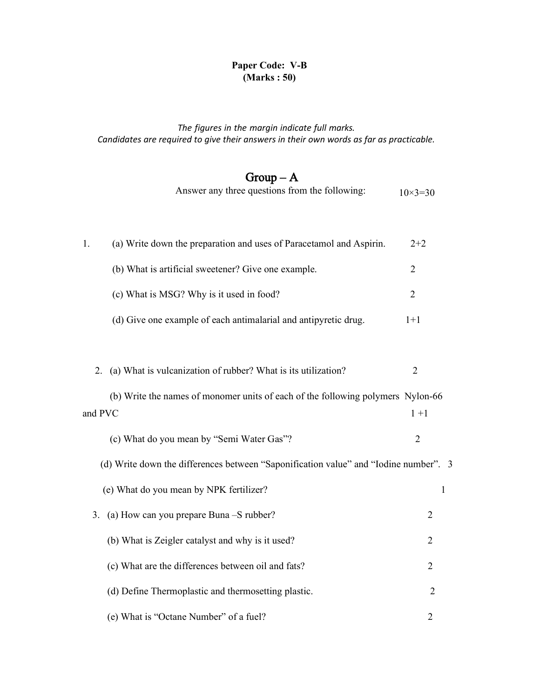#### Paper Code: V-B **(Marks : 50)**

#### *The figures in the margin indicate full marks. Candidates are required to give their answers in their own words as far as practicable.*

# $Group-A$

|  |  | Answer any three questions from the following: | $10\times3=30$ |
|--|--|------------------------------------------------|----------------|
|--|--|------------------------------------------------|----------------|

| (a) Write down the preparation and uses of Paracetamol and Aspirin.<br>1. | $2 + 2$                                                                              |                |
|---------------------------------------------------------------------------|--------------------------------------------------------------------------------------|----------------|
|                                                                           | (b) What is artificial sweetener? Give one example.                                  | $\overline{2}$ |
|                                                                           | (c) What is MSG? Why is it used in food?                                             | $\overline{2}$ |
|                                                                           | (d) Give one example of each antimalarial and antipyretic drug.                      | $1+1$          |
|                                                                           |                                                                                      |                |
| 2.                                                                        | (a) What is vulcanization of rubber? What is its utilization?                        | $\overline{2}$ |
| and PVC                                                                   | (b) Write the names of monomer units of each of the following polymers Nylon-66      | $1+1$          |
|                                                                           | (c) What do you mean by "Semi Water Gas"?                                            | $\overline{2}$ |
|                                                                           | (d) Write down the differences between "Saponification value" and "Iodine number". 3 |                |
|                                                                           | (e) What do you mean by NPK fertilizer?                                              | 1              |
| 3.                                                                        | (a) How can you prepare Buna -S rubber?                                              | $\overline{2}$ |
|                                                                           | (b) What is Zeigler catalyst and why is it used?                                     | $\overline{2}$ |
|                                                                           | (c) What are the differences between oil and fats?                                   | $\overline{2}$ |
|                                                                           | (d) Define Thermoplastic and thermosetting plastic.                                  | $\overline{2}$ |
|                                                                           | (e) What is "Octane Number" of a fuel?                                               | $\overline{2}$ |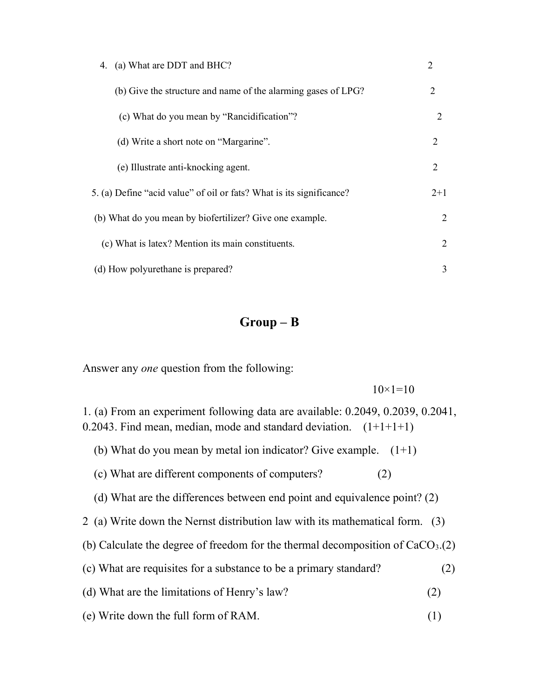| (a) What are DDT and BHC?<br>4.                                      |                             |
|----------------------------------------------------------------------|-----------------------------|
| (b) Give the structure and name of the alarming gases of LPG?        | $\mathcal{D}_{\mathcal{L}}$ |
| (c) What do you mean by "Rancidification"?                           | 2                           |
| (d) Write a short note on "Margarine".                               | $\overline{2}$              |
| (e) Illustrate anti-knocking agent.                                  | $\mathcal{D}_{\mathcal{L}}$ |
| 5. (a) Define "acid value" of oil or fats? What is its significance? | $2+1$                       |
| (b) What do you mean by biofertilizer? Give one example.             | 2                           |
| (c) What is latex? Mention its main constituents.                    | 2                           |
| (d) How polyurethane is prepared?                                    | 3                           |

## Group – B

Answer any *one* question from the following:

 $10\times1=10$ 

1. (a) From an experiment following data are available: 0.2049, 0.2039, 0.2041, 0.2043. Find mean, median, mode and standard deviation.  $(1+1+1+1)$ 

- (b) What do you mean by metal ion indicator? Give example.  $(1+1)$
- (c) What are different components of computers? (2)
- (d) What are the differences between end point and equivalence point? (2)
- 2 (a) Write down the Nernst distribution law with its mathematical form. (3)
- (b) Calculate the degree of freedom for the thermal decomposition of  $CaCO<sub>3</sub>(2)$
- (c) What are requisites for a substance to be a primary standard? (2)
- (d) What are the limitations of Henry's law? (2)
- (e) Write down the full form of RAM. (1)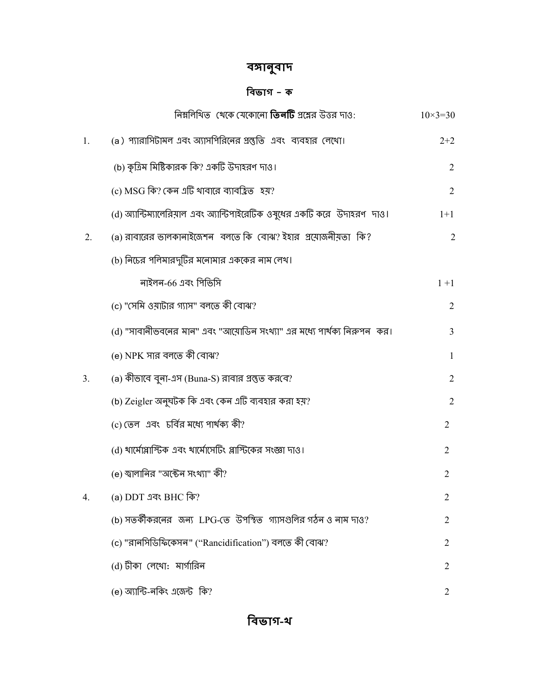# বঙ্গানুবাদ

## িবভাগ - ক

|    | নিম্নলিখিত  থেকে যেকোনো <b>তিনটি</b> প্রশ্নের উত্তর দাও:                  | $10 \times 3 = 30$ |  |
|----|---------------------------------------------------------------------------|--------------------|--|
| 1. | (a) প্যারাসিটামল এবং অ্যাসপিরিনের প্রস্তুতি এবং ব্যবহার লেখো।             | $2+2$              |  |
|    | (b) কৃত্রিম মিষ্টিকারক কি? একটি উদাহরণ দাও।                               | 2                  |  |
|    | (c) MSG কি? কেন এটি থাবারে ব্যাবহ্রিত হয়?                                | 2                  |  |
|    | (d) অ্যান্টিম্যালেরিয়াল এবং অ্যান্টিপাইরেটিক ওষুধের একটি করে উদাহরণ দাও। | $1+1$              |  |
| 2. | (a) রাবারের ভালকানাইজেশন বলতে কি বোঝ? ইহার প্রয়োজনীয়তা কি?              | $\overline{2}$     |  |
|    | (b) নিচের পলিমারদুটির মনোমার এককের নাম লেখ।                               |                    |  |
|    | নাইলন-66 এবং পিভিসি                                                       | $1 + 1$            |  |
|    | (c) "সেমি ওয়াটার গ্যাস" বলতে কী বোঝ?                                     | 2                  |  |
|    | (d) "সাবানীভবনের মান" এবং "আমোডিন সংখ্যা" এর মধ্যে পার্থক্য নিরুপন  কর।   | 3                  |  |
|    | (e) NPK সার বলতে কী বোঝ?                                                  | 1                  |  |
| 3. | (a) কীভাবে বুনা-এস (Buna-S) রাবার প্রস্তুত করবে?                          | 2                  |  |
|    | (b) Zeigler অনুঘটক কি এবং কেন এটি ব্যবহার করা হয়?                        | 2                  |  |
|    | (c) তেল  এবং  চর্বির মধ্যে পার্থক্য কী?                                   | $\overline{2}$     |  |
|    | (d) থার্মোপ্লাস্টিক এবং থার্মোসেটিং প্লাস্টিকের সংজ্ঞা দাও।               | $\overline{2}$     |  |
|    | (e) স্বালানির "অক্টেন সংথ্যা" কী?                                         | $\overline{2}$     |  |
| 4. | (a) DDT এবং BHC কি?                                                       | 2                  |  |
|    | (b) সতর্কীকরনের জন্য LPG-তে উপস্থিত গ্যাসগুলির গঠন ও নাম দাও?             | $\overline{2}$     |  |
|    | (c) "রানসিডিফিকেসন" ("Rancidification") বলতে কী বোঝ?                      | 2                  |  |
|    | (d) টীকা লেথো: মার্গারিন                                                  | 2                  |  |
|    | (e) অ্যান্টি-নকিং এজেন্ট কি?                                              | $\overline{2}$     |  |
|    | বিভাগ-থ                                                                   |                    |  |
|    |                                                                           |                    |  |

# বিভাগ-থ